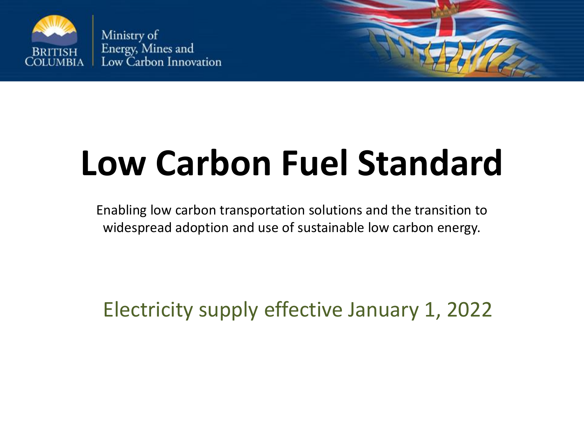

Ministry of Energy, Mines and Low Carbon Innovation

# **Low Carbon Fuel Standard**

Enabling low carbon transportation solutions and the transition to widespread adoption and use of sustainable low carbon energy.

Electricity supply effective January 1, 2022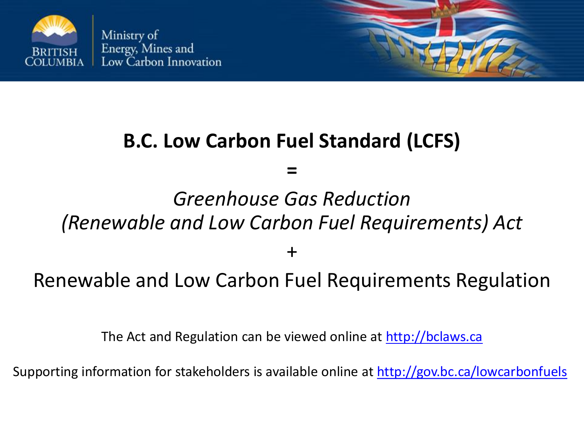

### **B.C. Low Carbon Fuel Standard (LCFS)**

**=**

### *Greenhouse Gas Reduction (Renewable and Low Carbon Fuel Requirements) Act*

+

### Renewable and Low Carbon Fuel Requirements Regulation

The Act and Regulation can be viewed online at [http://bclaws.ca](http://bclaws.ca/)

Supporting information for stakeholders is available online at <http://gov.bc.ca/lowcarbonfuels>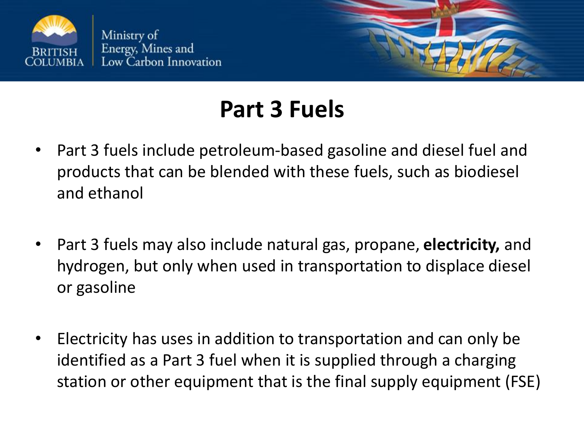



### **Part 3 Fuels**

- Part 3 fuels include petroleum-based gasoline and diesel fuel and products that can be blended with these fuels, such as biodiesel and ethanol
- Part 3 fuels may also include natural gas, propane, **electricity,** and hydrogen, but only when used in transportation to displace diesel or gasoline
- Electricity has uses in addition to transportation and can only be identified as a Part 3 fuel when it is supplied through a charging station or other equipment that is the final supply equipment (FSE)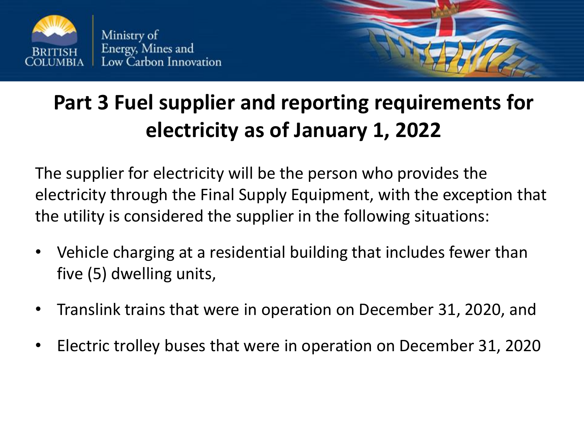



### **Part 3 Fuel supplier and reporting requirements for electricity as of January 1, 2022**

The supplier for electricity will be the person who provides the electricity through the Final Supply Equipment, with the exception that the utility is considered the supplier in the following situations:

- Vehicle charging at a residential building that includes fewer than five (5) dwelling units,
- Translink trains that were in operation on December 31, 2020, and
- Electric trolley buses that were in operation on December 31, 2020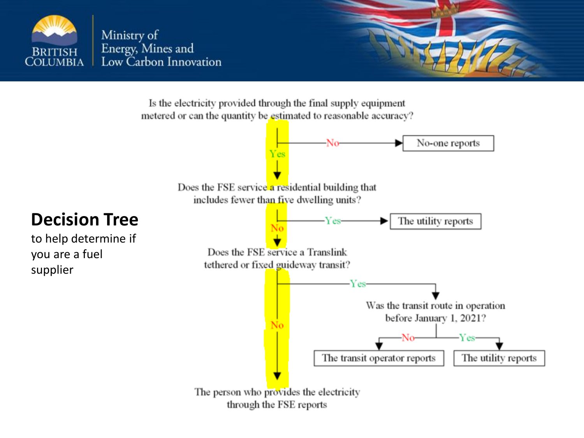

Is the electricity provided through the final supply equipment metered or can the quantity be estimated to reasonable accuracy?



The person who provides the electricity through the FSE reports

### **Decision Tree**

to help determine if you are a fuel supplier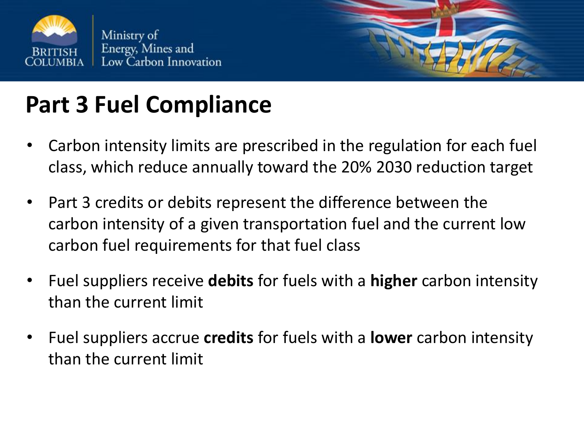



# **Part 3 Fuel Compliance**

- Carbon intensity limits are prescribed in the regulation for each fuel class, which reduce annually toward the 20% 2030 reduction target
- Part 3 credits or debits represent the difference between the carbon intensity of a given transportation fuel and the current low carbon fuel requirements for that fuel class
- Fuel suppliers receive **debits** for fuels with a **higher** carbon intensity than the current limit
- Fuel suppliers accrue **credits** for fuels with a **lower** carbon intensity than the current limit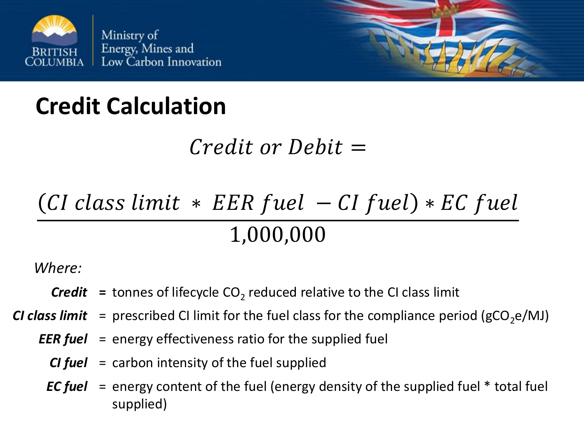

# **Credit Calculation**

### $Credit\; or\; Debit =$

# $(CI \; class \; limit \; * \; EER \; fuel -CI \; fuel) * EC \; fuel$ 1,000,000

*Where:*

- $\textit{Credit}$  = tonnes of lifecycle  $\text{CO}_2$  reduced relative to the CI class limit
- *CI class limit* = prescribed CI limit for the fuel class for the compliance period ( $gCO<sub>2</sub>e/MJ$ )
	- *EER fuel* = energy effectiveness ratio for the supplied fuel
		- *CI fuel* = carbon intensity of the fuel supplied
		- *EC fuel* = energy content of the fuel (energy density of the supplied fuel \* total fuel supplied)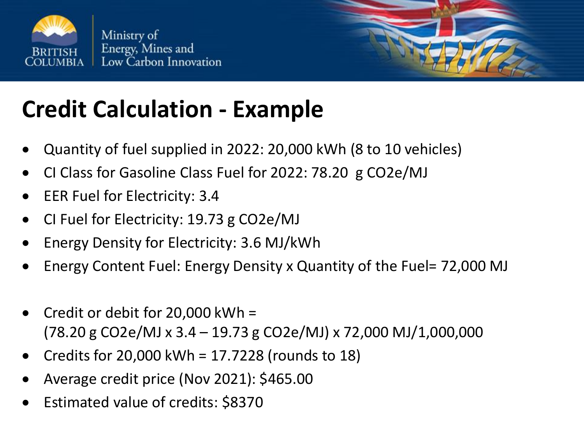

# **Credit Calculation - Example**

- Quantity of fuel supplied in 2022: 20,000 kWh (8 to 10 vehicles)
- CI Class for Gasoline Class Fuel for 2022: 78.20 g CO2e/MJ
- EER Fuel for Electricity: 3.4
- CI Fuel for Electricity: 19.73 g CO2e/MJ
- Energy Density for Electricity: 3.6 MJ/kWh
- Energy Content Fuel: Energy Density x Quantity of the Fuel= 72,000 MJ
- Credit or debit for  $20,000$  kWh = (78.20 g CO2e/MJ x 3.4 – 19.73 g CO2e/MJ) x 72,000 MJ/1,000,000
- Credits for 20,000 kWh = 17.7228 (rounds to 18)
- Average credit price (Nov 2021): \$465.00
- Estimated value of credits: \$8370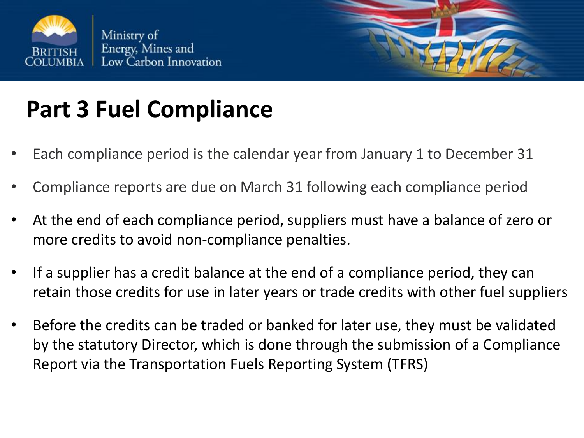



# **Part 3 Fuel Compliance**

- Each compliance period is the calendar year from January 1 to December 31
- Compliance reports are due on March 31 following each compliance period
- At the end of each compliance period, suppliers must have a balance of zero or more credits to avoid non-compliance penalties.
- If a supplier has a credit balance at the end of a compliance period, they can retain those credits for use in later years or trade credits with other fuel suppliers
- Before the credits can be traded or banked for later use, they must be validated by the statutory Director, which is done through the submission of a Compliance Report via the Transportation Fuels Reporting System (TFRS)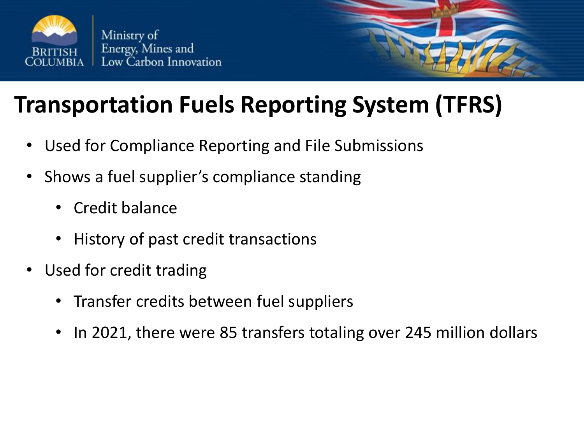

### **Transportation Fuels Reporting System (TFRS)**

- Used for Compliance Reporting and File Submissions
- Shows a fuel supplier's compliance standing
	- Credit balance
	- History of past credit transactions
- Used for credit trading
	- Transfer credits between fuel suppliers
	- In 2021, there were 85 transfers totaling over 245 million dollars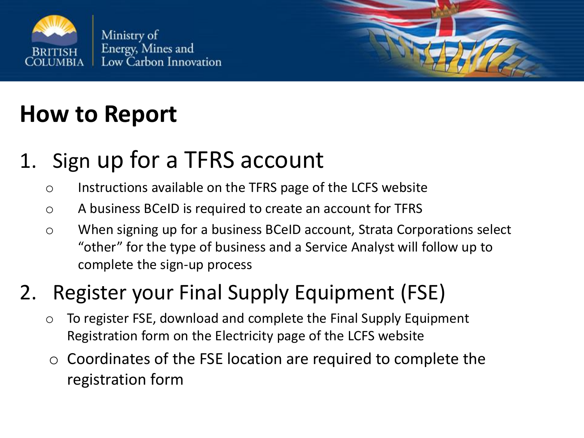

# **How to Report**

### 1. Sign up for a TFRS account

- o Instructions available on the TFRS page of the LCFS website
- o A business BCeID is required to create an account for TFRS
- o When signing up for a business BCeID account, Strata Corporations select "other" for the type of business and a Service Analyst will follow up to complete the sign-up process

### 2. Register your Final Supply Equipment (FSE)

- o To register FSE, download and complete the Final Supply Equipment Registration form on the Electricity page of the LCFS website
- $\circ$  Coordinates of the FSE location are required to complete the registration form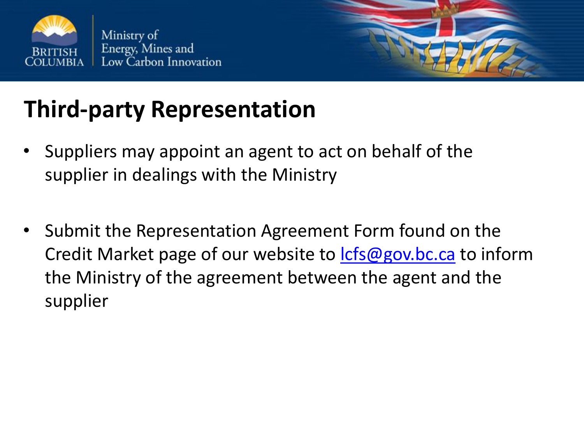



# **Third-party Representation**

- Suppliers may appoint an agent to act on behalf of the supplier in dealings with the Ministry
- Submit the Representation Agreement Form found on the Credit Market page of our website to [lcfs@gov.bc.ca](mailto:lcfs@gov.bc.ca) to inform the Ministry of the agreement between the agent and the supplier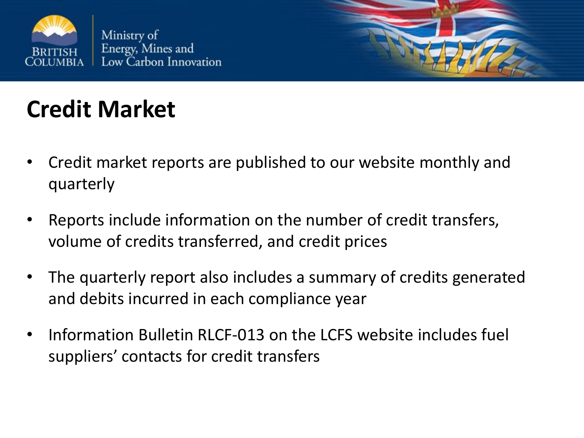



# **Credit Market**

- Credit market reports are published to our website monthly and quarterly
- Reports include information on the number of credit transfers, volume of credits transferred, and credit prices
- The quarterly report also includes a summary of credits generated and debits incurred in each compliance year
- Information Bulletin RLCF-013 on the LCFS website includes fuel suppliers' contacts for credit transfers